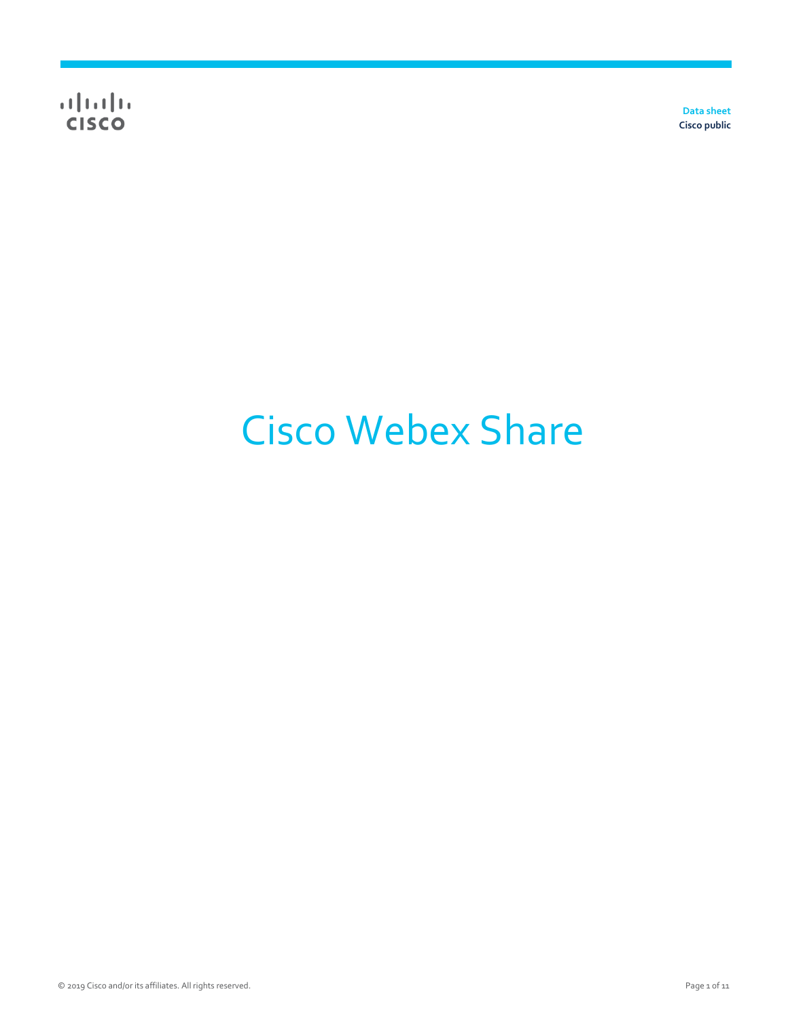**Data sheet Cisco public**

# Cisco Webex Share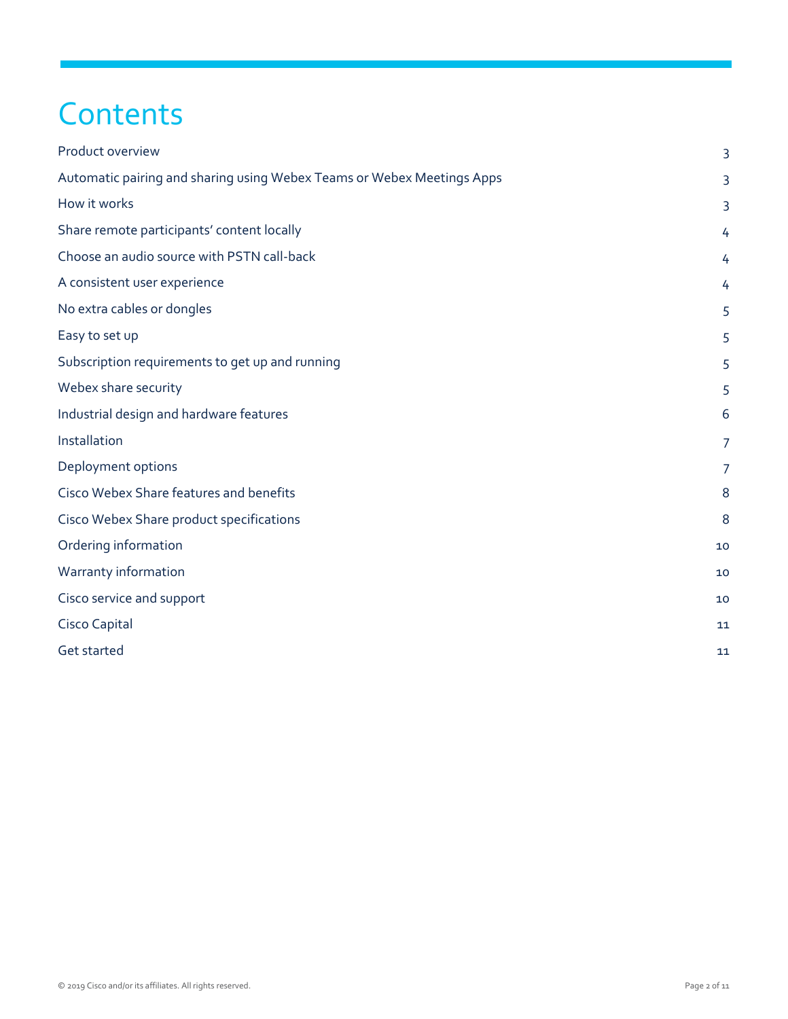## **Contents**

| Product overview                                                       | 3              |
|------------------------------------------------------------------------|----------------|
| Automatic pairing and sharing using Webex Teams or Webex Meetings Apps | 3              |
| How it works                                                           | 3              |
| Share remote participants' content locally                             | 4              |
| Choose an audio source with PSTN call-back                             | 4              |
| A consistent user experience                                           | 4              |
| No extra cables or dongles                                             | 5              |
| Easy to set up                                                         | 5              |
| Subscription requirements to get up and running                        | 5              |
| Webex share security                                                   | 5              |
| Industrial design and hardware features                                | 6              |
| Installation                                                           | $\overline{7}$ |
| Deployment options                                                     | $\overline{7}$ |
| Cisco Webex Share features and benefits                                | 8              |
| Cisco Webex Share product specifications                               | 8              |
| Ordering information                                                   | 10             |
| Warranty information                                                   | 10             |
| Cisco service and support                                              | 10             |
| Cisco Capital                                                          | 11             |
| Get started                                                            | 11             |
|                                                                        |                |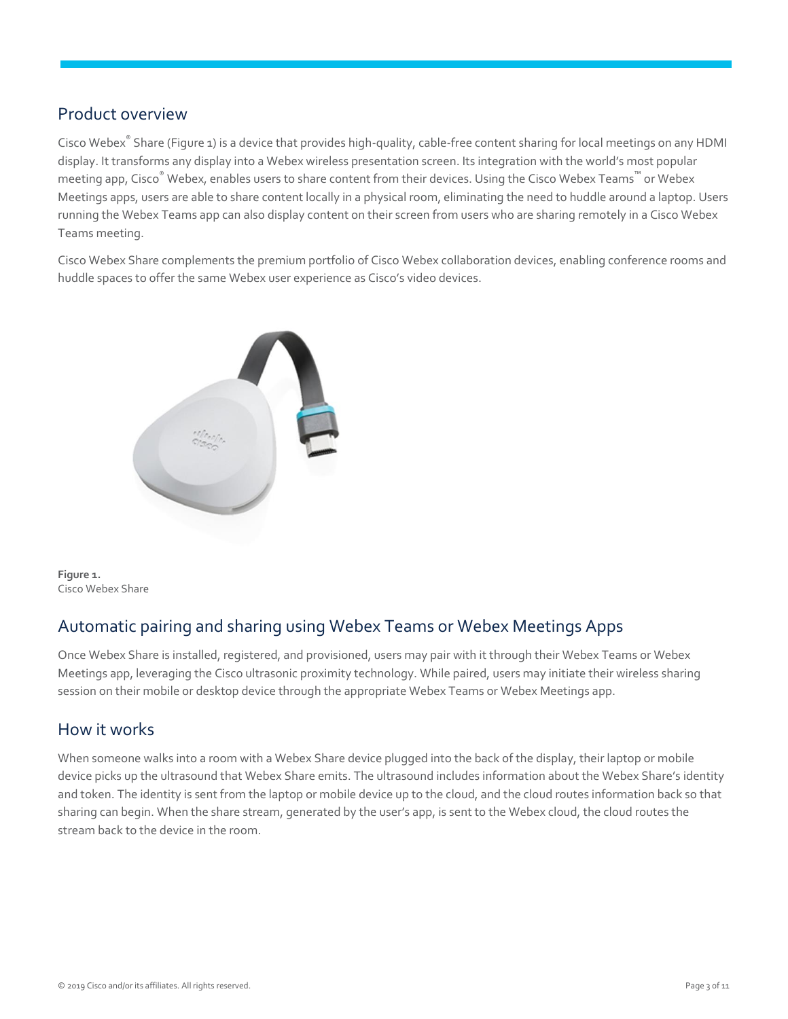#### <span id="page-2-0"></span>Product overview

Cisco Webex® Share (Figure 1) is a device that provides high-quality, cable-free content sharing for local meetings on any HDMI display. It transforms any display into a Webex wireless presentation screen. Its integration with the world's most popular meeting app, Cisco $^\circ$  Webex, enables users to share content from their devices. Using the Cisco Webex Teams™ or Webex Meetings apps, users are able to share content locally in a physical room, eliminating the need to huddle around a laptop. Users running the Webex Teams app can also display content on their screen from users who are sharing remotely in a Cisco Webex Teams meeting.

Cisco Webex Share complements the premium portfolio of Cisco Webex collaboration devices, enabling conference rooms and huddle spaces to offer the same Webex user experience as Cisco's video devices.



**Figure 1.**  Cisco Webex Share

#### <span id="page-2-1"></span>Automatic pairing and sharing using Webex Teams or Webex Meetings Apps

Once Webex Share is installed, registered, and provisioned, users may pair with it through their Webex Teams or Webex Meetings app, leveraging the Cisco ultrasonic proximity technology. While paired, users may initiate their wireless sharing session on their mobile or desktop device through the appropriate Webex Teams or Webex Meetings app.

#### <span id="page-2-2"></span>How it works

When someone walks into a room with a Webex Share device plugged into the back of the display, their laptop or mobile device picks up the ultrasound that Webex Share emits. The ultrasound includes information about the Webex Share's identity and token. The identity is sent from the laptop or mobile device up to the cloud, and the cloud routes information back so that sharing can begin. When the share stream, generated by the user's app, is sent to the Webex cloud, the cloud routes the stream back to the device in the room.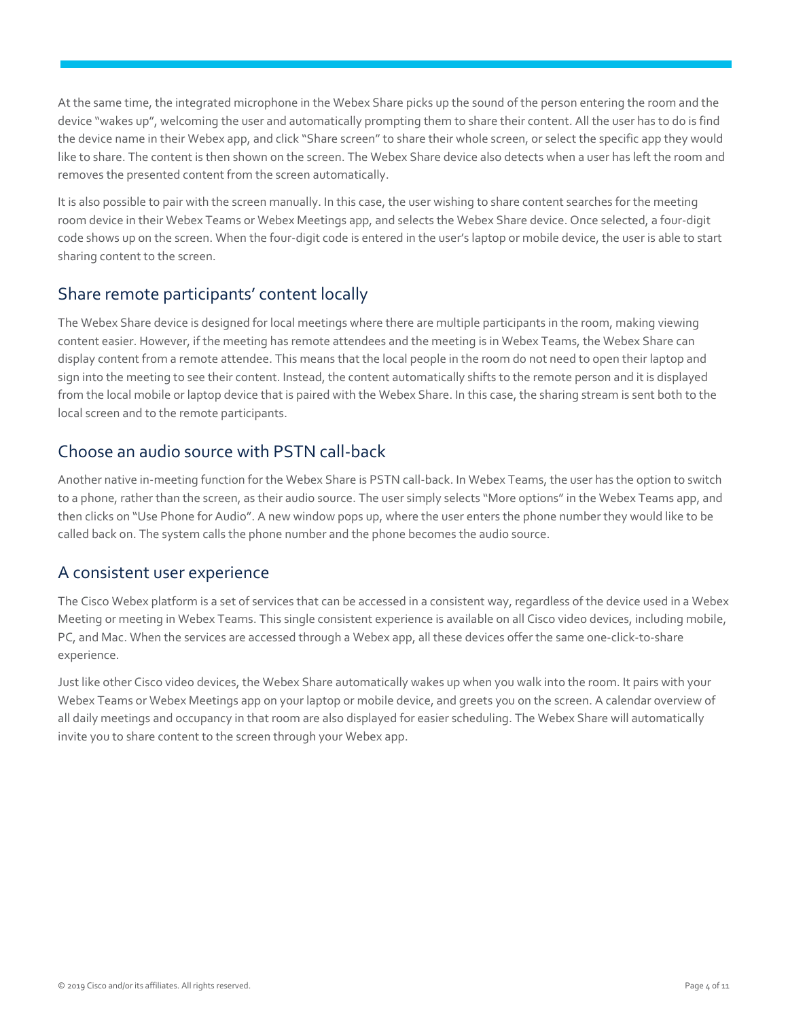At the same time, the integrated microphone in the Webex Share picks up the sound of the person entering the room and the device "wakes up", welcoming the user and automatically prompting them to share their content. All the user has to do is find the device name in their Webex app, and click "Share screen" to share their whole screen, or select the specific app they would like to share. The content is then shown on the screen. The Webex Share device also detects when a user has left the room and removes the presented content from the screen automatically.

It is also possible to pair with the screen manually. In this case, the user wishing to share content searches for the meeting room device in their Webex Teams or Webex Meetings app, and selects the Webex Share device. Once selected, a four-digit code shows up on the screen. When the four-digit code is entered in the user's laptop or mobile device, the user is able to start sharing content to the screen.

#### <span id="page-3-0"></span>Share remote participants' content locally

The Webex Share device is designed for local meetings where there are multiple participants in the room, making viewing content easier. However, if the meeting has remote attendees and the meeting is in Webex Teams, the Webex Share can display content from a remote attendee. This means that the local people in the room do not need to open their laptop and sign into the meeting to see their content. Instead, the content automatically shifts to the remote person and it is displayed from the local mobile or laptop device that is paired with the Webex Share. In this case, the sharing stream is sent both to the local screen and to the remote participants.

#### <span id="page-3-1"></span>Choose an audio source with PSTN call-back

Another native in-meeting function for the Webex Share is PSTN call-back. In Webex Teams, the user has the option to switch to a phone, rather than the screen, as their audio source. The user simply selects "More options" in the Webex Teams app, and then clicks on "Use Phone for Audio". A new window pops up, where the user enters the phone number they would like to be called back on. The system calls the phone number and the phone becomes the audio source.

#### <span id="page-3-2"></span>A consistent user experience

The Cisco Webex platform is a set of services that can be accessed in a consistent way, regardless of the device used in a Webex Meeting or meeting in Webex Teams. This single consistent experience is available on all Cisco video devices, including mobile, PC, and Mac. When the services are accessed through a Webex app, all these devices offer the same one-click-to-share experience.

Just like other Cisco video devices, the Webex Share automatically wakes up when you walk into the room. It pairs with your Webex Teams or Webex Meetings app on your laptop or mobile device, and greets you on the screen. A calendar overview of all daily meetings and occupancy in that room are also displayed for easier scheduling. The Webex Share will automatically invite you to share content to the screen through your Webex app.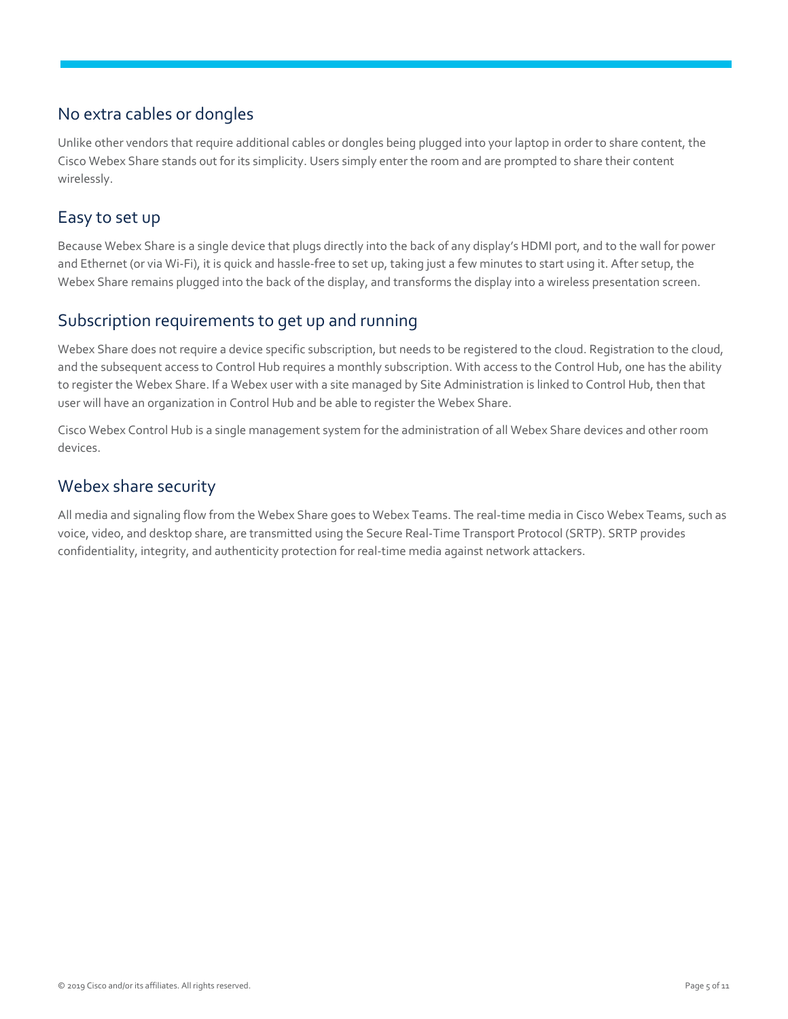#### <span id="page-4-0"></span>No extra cables or dongles

Unlike other vendors that require additional cables or dongles being plugged into your laptop in order to share content, the Cisco Webex Share stands out for its simplicity. Users simply enter the room and are prompted to share their content wirelessly.

#### <span id="page-4-1"></span>Easy to set up

Because Webex Share is a single device that plugs directly into the back of any display's HDMI port, and to the wall for power and Ethernet (or via Wi-Fi), it is quick and hassle-free to set up, taking just a few minutes to start using it. After setup, the Webex Share remains plugged into the back of the display, and transforms the display into a wireless presentation screen.

#### <span id="page-4-2"></span>Subscription requirements to get up and running

Webex Share does not require a device specific subscription, but needs to be registered to the cloud. Registration to the cloud, and the subsequent access to Control Hub requires a monthly subscription. With access to the Control Hub, one has the ability to register the Webex Share. If a Webex user with a site managed by Site Administration is linked to Control Hub, then that user will have an organization in Control Hub and be able to register the Webex Share.

Cisco Webex Control Hub is a single management system for the administration of all Webex Share devices and other room devices.

#### <span id="page-4-3"></span>Webex share security

All media and signaling flow from the Webex Share goes to Webex Teams. The real-time media in Cisco Webex Teams, such as voice, video, and desktop share, are transmitted using the Secure Real-Time Transport Protocol (SRTP). SRTP provides confidentiality, integrity, and authenticity protection for real-time media against network attackers.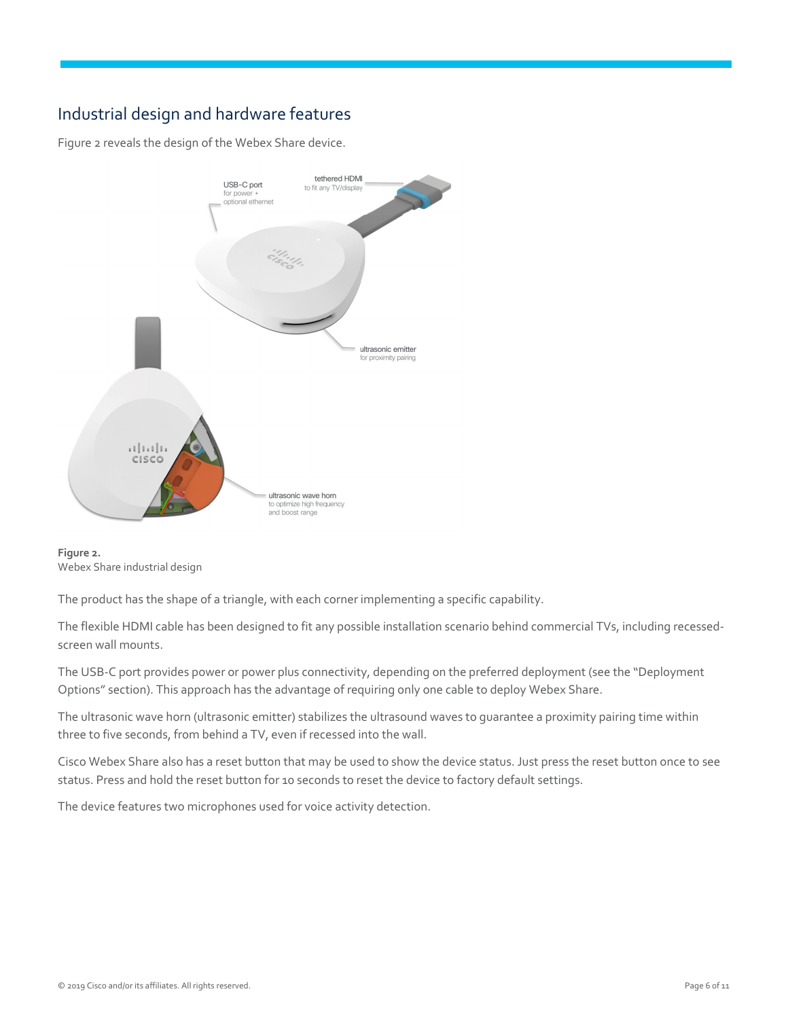#### <span id="page-5-0"></span>Industrial design and hardware features

Figure 2 reveals the design of the Webex Share device.



**Figure 2.**  Webex Share industrial design

The product has the shape of a triangle, with each corner implementing a specific capability.

The flexible HDMI cable has been designed to fit any possible installation scenario behind commercial TVs, including recessedscreen wall mounts.

The USB-C port provides power or power plus connectivity, depending on the preferred deployment (see the "Deployment Options" section). This approach has the advantage of requiring only one cable to deploy Webex Share.

The ultrasonic wave horn (ultrasonic emitter) stabilizes the ultrasound waves to guarantee a proximity pairing time within three to five seconds, from behind a TV, even if recessed into the wall.

Cisco Webex Share also has a reset button that may be used to show the device status. Just press the reset button once to see status. Press and hold the reset button for 10 seconds to reset the device to factory default settings.

The device features two microphones used for voice activity detection.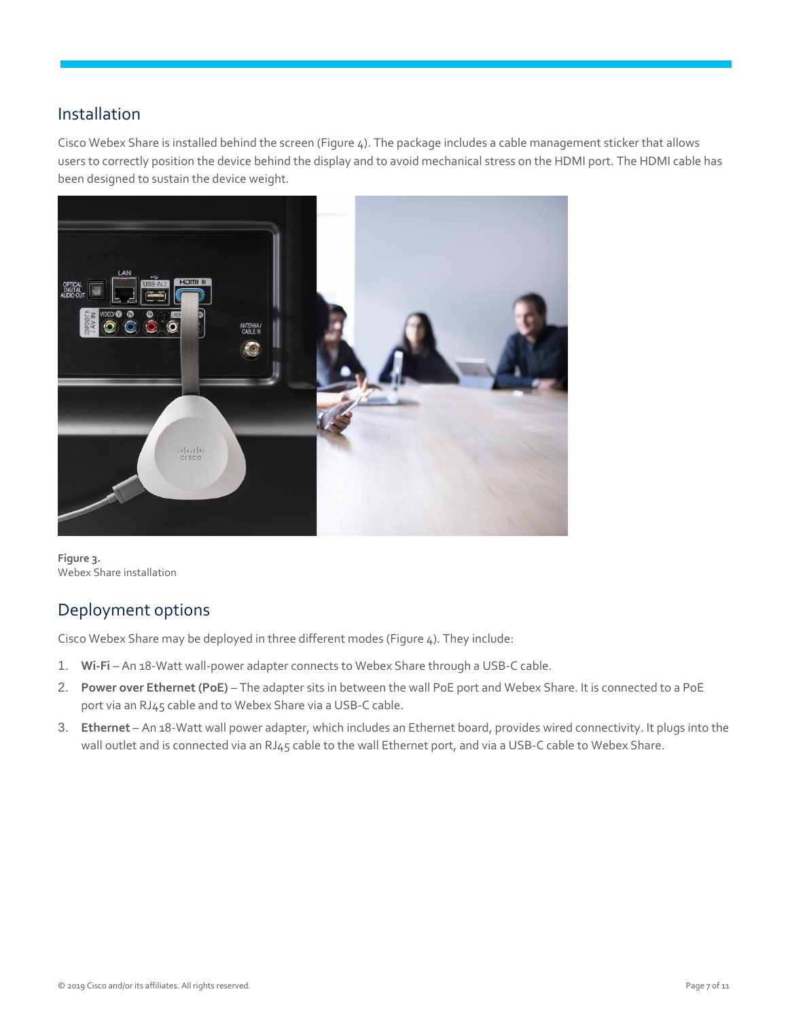#### <span id="page-6-0"></span>Installation

Cisco Webex Share is installed behind the screen (Figure 4). The package includes a cable management sticker that allows users to correctly position the device behind the display and to avoid mechanical stress on the HDMI port. The HDMI cable has been designed to sustain the device weight.



**Figure 3.**  Webex Share installation

## <span id="page-6-1"></span>Deployment options

Cisco Webex Share may be deployed in three different modes (Figure 4). They include:

- 1. **Wi-Fi** An 18-Watt wall-power adapter connects to Webex Share through a USB-C cable.
- 2. **Power over Ethernet (PoE)** The adapter sits in between the wall PoE port and Webex Share. It is connected to a PoE port via an RJ45 cable and to Webex Share via a USB-C cable.
- 3. **Ethernet** An 18-Watt wall power adapter, which includes an Ethernet board, provides wired connectivity. It plugs into the wall outlet and is connected via an RJ45 cable to the wall Ethernet port, and via a USB-C cable to Webex Share.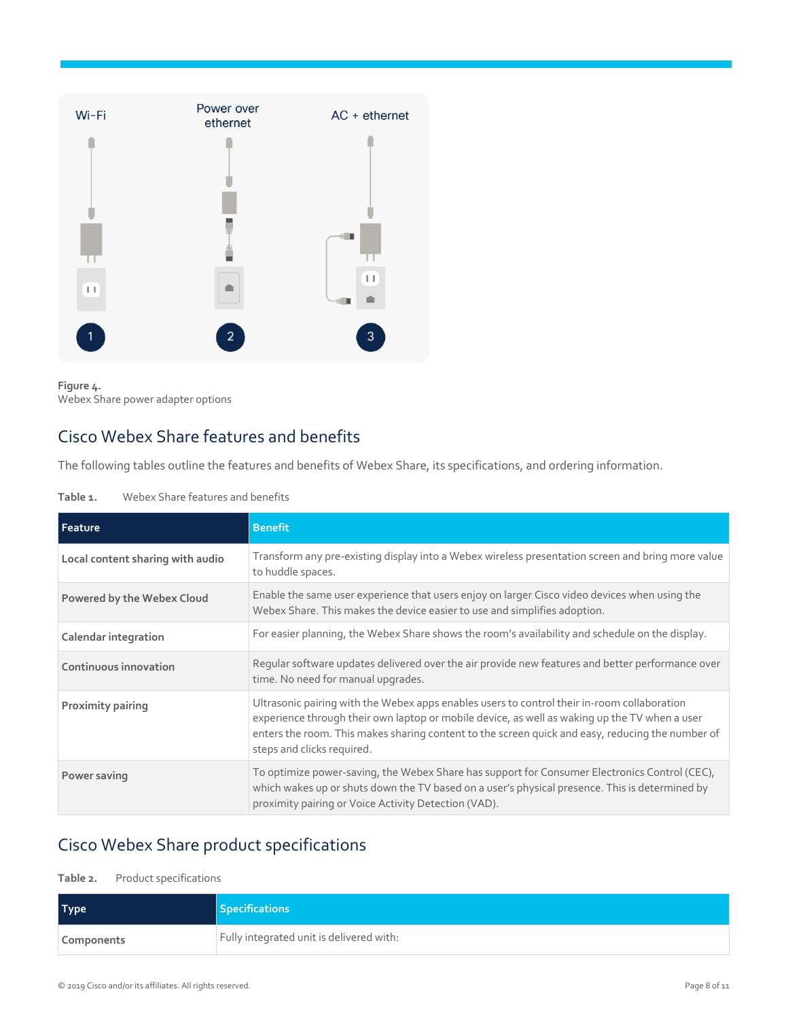



## <span id="page-7-0"></span>Cisco Webex Share features and benefits

The following tables outline the features and benefits of Webex Share, its specifications, and ordering information.

#### **Table 1.** Webex Share features and benefits

| Feature                          | <b>Benefit</b>                                                                                                                                                                                                                                                                                                                 |
|----------------------------------|--------------------------------------------------------------------------------------------------------------------------------------------------------------------------------------------------------------------------------------------------------------------------------------------------------------------------------|
| Local content sharing with audio | Transform any pre-existing display into a Webex wireless presentation screen and bring more value<br>to huddle spaces.                                                                                                                                                                                                         |
| Powered by the Webex Cloud       | Enable the same user experience that users enjoy on larger Cisco video devices when using the<br>Webex Share. This makes the device easier to use and simplifies adoption.                                                                                                                                                     |
| Calendar integration             | For easier planning, the Webex Share shows the room's availability and schedule on the display.                                                                                                                                                                                                                                |
| Continuous innovation            | Regular software updates delivered over the air provide new features and better performance over<br>time. No need for manual upgrades.                                                                                                                                                                                         |
| Proximity pairing                | Ultrasonic pairing with the Webex apps enables users to control their in-room collaboration<br>experience through their own laptop or mobile device, as well as waking up the TV when a user<br>enters the room. This makes sharing content to the screen quick and easy, reducing the number of<br>steps and clicks required. |
| Power saving                     | To optimize power-saving, the Webex Share has support for Consumer Electronics Control (CEC),<br>which wakes up or shuts down the TV based on a user's physical presence. This is determined by<br>proximity pairing or Voice Activity Detection (VAD).                                                                        |

## <span id="page-7-1"></span>Cisco Webex Share product specifications

#### **Table 2.** Product specifications

| <b>Type</b> | <b>Specifications</b>                    |
|-------------|------------------------------------------|
| Components  | Fully integrated unit is delivered with: |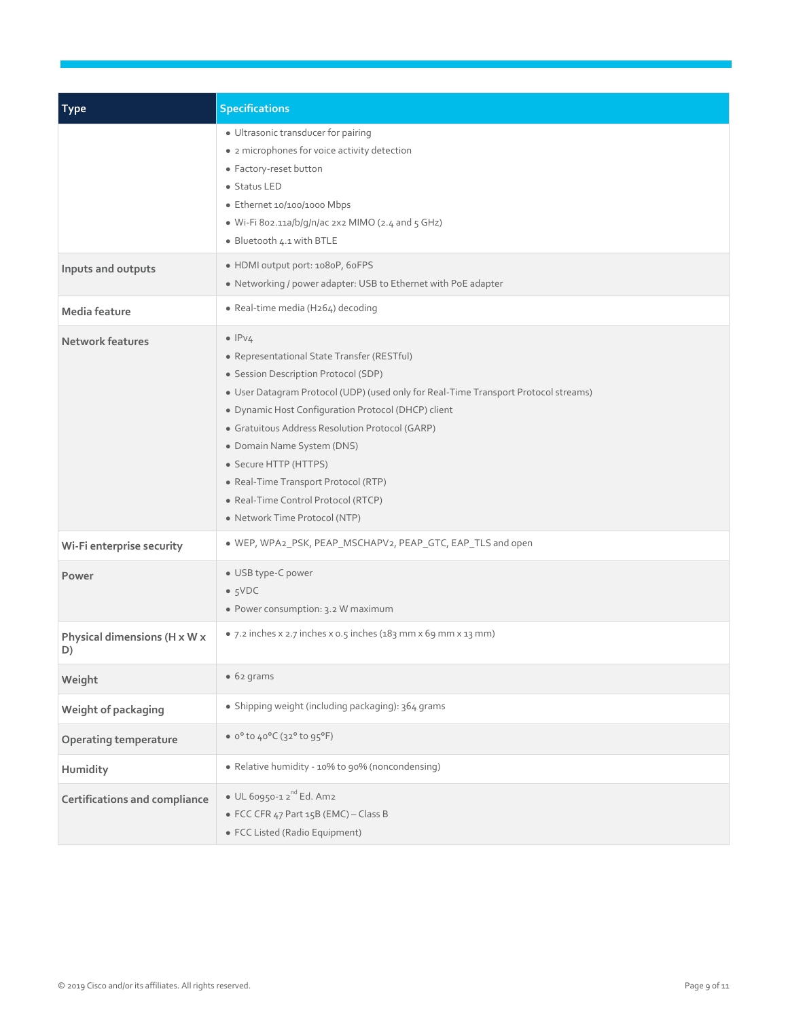| <b>Type</b>                        | <b>Specifications</b>                                                                                                                                                                                                                                                                                                                                                                                                                                                         |
|------------------------------------|-------------------------------------------------------------------------------------------------------------------------------------------------------------------------------------------------------------------------------------------------------------------------------------------------------------------------------------------------------------------------------------------------------------------------------------------------------------------------------|
|                                    | · Ultrasonic transducer for pairing<br>• 2 microphones for voice activity detection<br>• Factory-reset button<br>• Status LED<br>• Ethernet 10/100/1000 Mbps<br>· Wi-Fi 802.11a/b/g/n/ac 2x2 MIMO (2.4 and 5 GHz)<br>· Bluetooth 4.1 with BTLE                                                                                                                                                                                                                                |
| Inputs and outputs                 | • HDMI output port: 1080P, 60FPS<br>• Networking / power adapter: USB to Ethernet with PoE adapter                                                                                                                                                                                                                                                                                                                                                                            |
| Media feature                      | • Real-time media (H264) decoding                                                                                                                                                                                                                                                                                                                                                                                                                                             |
| <b>Network features</b>            | $\bullet$ IPv4<br>• Representational State Transfer (RESTful)<br>• Session Description Protocol (SDP)<br>• User Datagram Protocol (UDP) (used only for Real-Time Transport Protocol streams)<br>· Dynamic Host Configuration Protocol (DHCP) client<br>• Gratuitous Address Resolution Protocol (GARP)<br>• Domain Name System (DNS)<br>• Secure HTTP (HTTPS)<br>• Real-Time Transport Protocol (RTP)<br>• Real-Time Control Protocol (RTCP)<br>• Network Time Protocol (NTP) |
| Wi-Fi enterprise security          | . WEP, WPA2_PSK, PEAP_MSCHAPV2, PEAP_GTC, EAP_TLS and open                                                                                                                                                                                                                                                                                                                                                                                                                    |
| Power                              | • USB type-C power<br>$\bullet$ 5VDC<br>• Power consumption: 3.2 W maximum                                                                                                                                                                                                                                                                                                                                                                                                    |
| Physical dimensions (H x W x<br>D) | • 7.2 inches x 2.7 inches x 0.5 inches (183 mm x 69 mm x 13 mm)                                                                                                                                                                                                                                                                                                                                                                                                               |
| Weight                             | • 62 grams                                                                                                                                                                                                                                                                                                                                                                                                                                                                    |
| Weight of packaging                | · Shipping weight (including packaging): 364 grams                                                                                                                                                                                                                                                                                                                                                                                                                            |
| <b>Operating temperature</b>       | • $0^{\circ}$ to $40^{\circ}$ C (32° to 95°F)                                                                                                                                                                                                                                                                                                                                                                                                                                 |
| Humidity                           | • Relative humidity - 10% to 90% (noncondensing)                                                                                                                                                                                                                                                                                                                                                                                                                              |
| Certifications and compliance      | $\bullet$ UL 60950-1 2 <sup>nd</sup> Ed. Am2<br>• FCC CFR 47 Part 15B (EMC) - Class B<br>· FCC Listed (Radio Equipment)                                                                                                                                                                                                                                                                                                                                                       |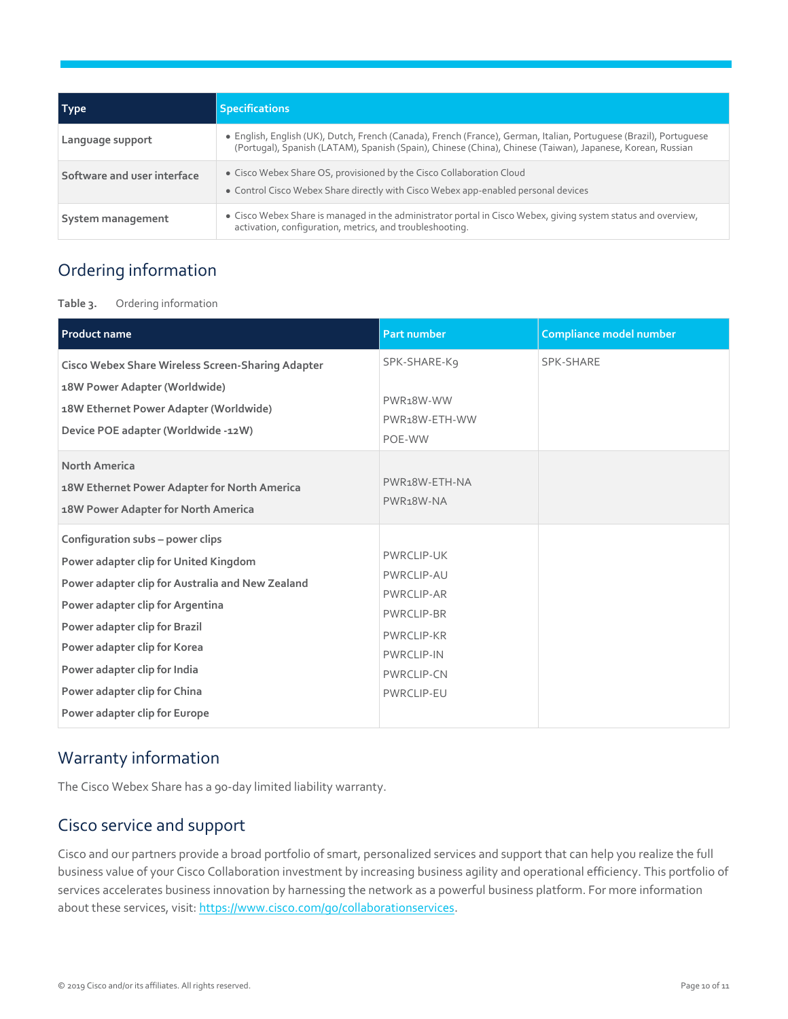| Type                        | <b>Specifications</b>                                                                                                                                                                                                            |
|-----------------------------|----------------------------------------------------------------------------------------------------------------------------------------------------------------------------------------------------------------------------------|
| Language support            | • English, English (UK), Dutch, French (Canada), French (France), German, Italian, Portuguese (Brazil), Portuguese<br>(Portugal), Spanish (LATAM), Spanish (Spain), Chinese (China), Chinese (Taiwan), Japanese, Korean, Russian |
| Software and user interface | • Cisco Webex Share OS, provisioned by the Cisco Collaboration Cloud<br>• Control Cisco Webex Share directly with Cisco Webex app-enabled personal devices                                                                       |
| System management           | • Cisco Webex Share is managed in the administrator portal in Cisco Webex, giving system status and overview,<br>activation, configuration, metrics, and troubleshooting.                                                        |

#### <span id="page-9-0"></span>Ordering information

**Table 3.** Ordering information

| <b>Product name</b>                                                                                                                                                                                                                                                                                                                 | <b>Part number</b>                                                                                                                                            | Compliance model number |
|-------------------------------------------------------------------------------------------------------------------------------------------------------------------------------------------------------------------------------------------------------------------------------------------------------------------------------------|---------------------------------------------------------------------------------------------------------------------------------------------------------------|-------------------------|
| <b>Cisco Webex Share Wireless Screen-Sharing Adapter</b><br>18W Power Adapter (Worldwide)<br>18W Ethernet Power Adapter (Worldwide)<br>Device POE adapter (Worldwide -12W)                                                                                                                                                          | SPK-SHARE-K9<br>PWR <sub>18</sub> W-WW<br>PWR18W-ETH-WW<br>POE-WW                                                                                             | SPK-SHARE               |
| <b>North America</b><br>18W Ethernet Power Adapter for North America<br>18W Power Adapter for North America                                                                                                                                                                                                                         | PWR <sub>18</sub> W-ETH-NA<br>PWR <sub>18</sub> W-NA                                                                                                          |                         |
| Configuration subs - power clips<br>Power adapter clip for United Kingdom<br>Power adapter clip for Australia and New Zealand<br>Power adapter clip for Argentina<br>Power adapter clip for Brazil<br>Power adapter clip for Korea<br>Power adapter clip for India<br>Power adapter clip for China<br>Power adapter clip for Europe | <b>PWRCLIP-UK</b><br>PWRCLIP-AU<br><b>PWRCLIP-AR</b><br><b>PWRCLIP-BR</b><br><b>PWRCLIP-KR</b><br><b>PWRCLIP-IN</b><br><b>PWRCLIP-CN</b><br><b>PWRCLIP-EU</b> |                         |

#### <span id="page-9-1"></span>Warranty information

The Cisco Webex Share has a 90-day limited liability warranty.

#### <span id="page-9-2"></span>Cisco service and support

Cisco and our partners provide a broad portfolio of smart, personalized services and support that can help you realize the full business value of your Cisco Collaboration investment by increasing business agility and operational efficiency. This portfolio of services accelerates business innovation by harnessing the network as a powerful business platform. For more information about these services, visit: [https://www.cisco.com/go/collaborationservices.](https://www.cisco.com/go/collaborationservices)